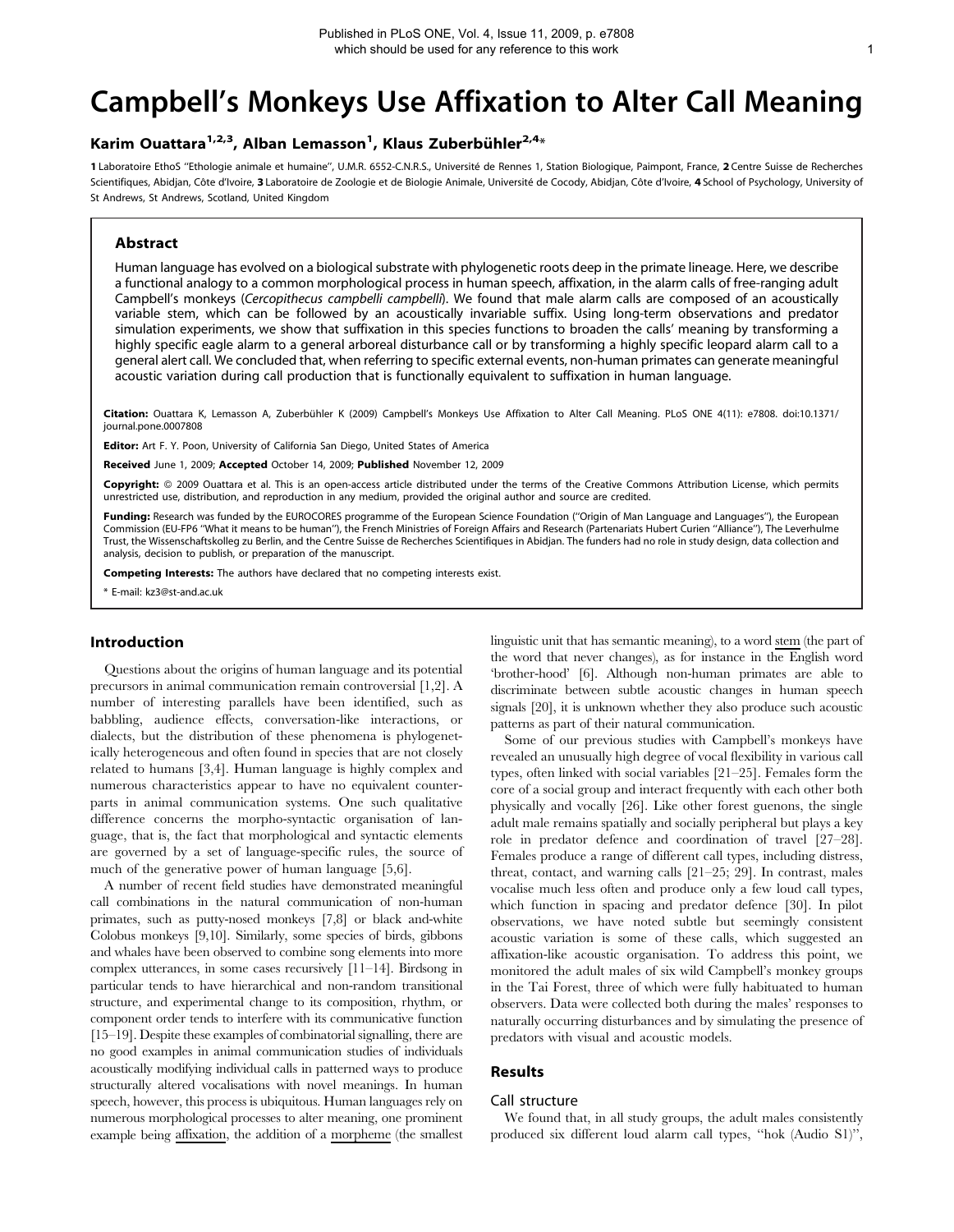# Campbell's Monkeys Use Affixation to Alter Call Meaning

# Karim Ouattara $^{1,2,3}$ , Alban Lemasson $^1$ , Klaus Zuberbühler $^{2,4_\times}$

1 Laboratoire EthoS "Ethologie animale et humaine", U.M.R. 6552-C.N.R.S., Université de Rennes 1, Station Biologique, Paimpont, France, 2 Centre Suisse de Recherches Scientifiques, Abidian, Côte d'Ivoire, 3 Laboratoire de Zoologie et de Biologie Animale, Université de Cocody, Abidian, Côte d'Ivoire, 4 School of Psychology, University of St Andrews, St Andrews, Scotland, United Kingdom

## Abstract

Human language has evolved on a biological substrate with phylogenetic roots deep in the primate lineage. Here, we describe a functional analogy to a common morphological process in human speech, affixation, in the alarm calls of free-ranging adult Campbell's monkeys (Cercopithecus campbelli campbelli). We found that male alarm calls are composed of an acoustically variable stem, which can be followed by an acoustically invariable suffix. Using long-term observations and predator simulation experiments, we show that suffixation in this species functions to broaden the calls' meaning by transforming a highly specific eagle alarm to a general arboreal disturbance call or by transforming a highly specific leopard alarm call to a general alert call. We concluded that, when referring to specific external events, non-human primates can generate meaningful acoustic variation during call production that is functionally equivalent to suffixation in human language.

Citation: Ouattara K, Lemasson A, Zuberbühler K (2009) Campbell's Monkeys Use Affixation to Alter Call Meaning. PLoS ONE 4(11): e7808. doi:10.1371/ journal.pone.0007808

Editor: Art F. Y. Poon, University of California San Diego, United States of America

Received June 1, 2009; Accepted October 14, 2009; Published November 12, 2009

Copyright: @ 2009 Ouattara et al. This is an open-access article distributed under the terms of the Creative Commons Attribution License, which permits unrestricted use, distribution, and reproduction in any medium, provided the original author and source are credited.

Funding: Research was funded by the EUROCORES programme of the European Science Foundation ("Origin of Man Language and Languages"), the European Commission (EU-FP6 ''What it means to be human''), the French Ministries of Foreign Affairs and Research (Partenariats Hubert Curien ''Alliance''), The Leverhulme Trust, the Wissenschaftskolleg zu Berlin, and the Centre Suisse de Recherches Scientifiques in Abidjan. The funders had no role in study design, data collection and analysis, decision to publish, or preparation of the manuscript.

Competing Interests: The authors have declared that no competing interests exist.

E-mail: kz3@st-and.ac.uk

#### Introduction

Questions about the origins of human language and its potential precursors in animal communication remain controversial [1,2]. A number of interesting parallels have been identified, such as babbling, audience effects, conversation-like interactions, or dialects, but the distribution of these phenomena is phylogenetically heterogeneous and often found in species that are not closely related to humans [3,4]. Human language is highly complex and numerous characteristics appear to have no equivalent counterparts in animal communication systems. One such qualitative difference concerns the morpho-syntactic organisation of language, that is, the fact that morphological and syntactic elements are governed by a set of language-specific rules, the source of much of the generative power of human language [5,6].

A number of recent field studies have demonstrated meaningful call combinations in the natural communication of non-human primates, such as putty-nosed monkeys [7,8] or black and-white Colobus monkeys [9,10]. Similarly, some species of birds, gibbons and whales have been observed to combine song elements into more complex utterances, in some cases recursively [11–14]. Birdsong in particular tends to have hierarchical and non-random transitional structure, and experimental change to its composition, rhythm, or component order tends to interfere with its communicative function [15–19]. Despite these examples of combinatorial signalling, there are no good examples in animal communication studies of individuals acoustically modifying individual calls in patterned ways to produce structurally altered vocalisations with novel meanings. In human speech, however, this process is ubiquitous. Human languages rely on numerous morphological processes to alter meaning, one prominent example being affixation, the addition of a morpheme (the smallest linguistic unit that has semantic meaning), to a word stem (the part of the word that never changes), as for instance in the English word 'brother-hood' [6]. Although non-human primates are able to discriminate between subtle acoustic changes in human speech signals [20], it is unknown whether they also produce such acoustic patterns as part of their natural communication.

Some of our previous studies with Campbell's monkeys have revealed an unusually high degree of vocal flexibility in various call types, often linked with social variables [21–25]. Females form the core of a social group and interact frequently with each other both physically and vocally [26]. Like other forest guenons, the single adult male remains spatially and socially peripheral but plays a key role in predator defence and coordination of travel [27–28]. Females produce a range of different call types, including distress, threat, contact, and warning calls [21–25; 29]. In contrast, males vocalise much less often and produce only a few loud call types, which function in spacing and predator defence [30]. In pilot observations, we have noted subtle but seemingly consistent acoustic variation is some of these calls, which suggested an affixation-like acoustic organisation. To address this point, we monitored the adult males of six wild Campbell's monkey groups in the Tai Forest, three of which were fully habituated to human observers. Data were collected both during the males' responses to naturally occurring disturbances and by simulating the presence of predators with visual and acoustic models.

## Results

#### Call structure

We found that, in all study groups, the adult males consistently produced six different loud alarm call types, ''hok (Audio S1)'',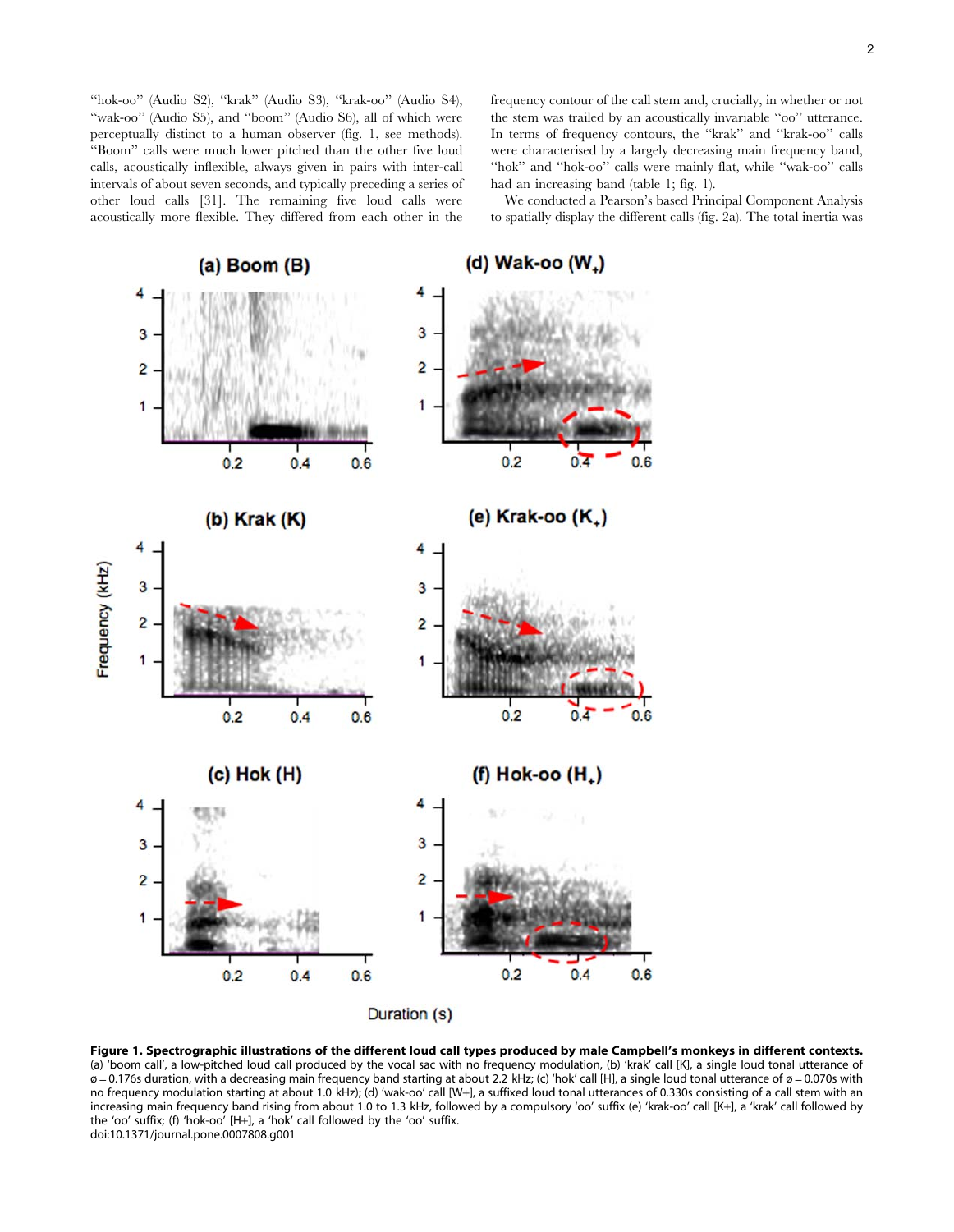''hok-oo'' (Audio S2), ''krak'' (Audio S3), ''krak-oo'' (Audio S4), ''wak-oo'' (Audio S5), and ''boom'' (Audio S6), all of which were perceptually distinct to a human observer (fig. 1, see methods). ''Boom'' calls were much lower pitched than the other five loud calls, acoustically inflexible, always given in pairs with inter-call intervals of about seven seconds, and typically preceding a series of other loud calls [31]. The remaining five loud calls were acoustically more flexible. They differed from each other in the frequency contour of the call stem and, crucially, in whether or not the stem was trailed by an acoustically invariable ''oo'' utterance. In terms of frequency contours, the ''krak'' and ''krak-oo'' calls were characterised by a largely decreasing main frequency band, ''hok'' and ''hok-oo'' calls were mainly flat, while ''wak-oo'' calls had an increasing band (table 1; fig. 1).

We conducted a Pearson's based Principal Component Analysis to spatially display the different calls (fig. 2a). The total inertia was



Figure 1. Spectrographic illustrations of the different loud call types produced by male Campbell's monkeys in different contexts. (a) 'boom call', a low-pitched loud call produced by the vocal sac with no frequency modulation, (b) 'krak' call [K], a single loud tonal utterance of  $\sigma$  = 0.176s duration, with a decreasing main frequency band starting at about 2.2 kHz; (c) 'hok' call [H], a single loud tonal utterance of  $\sigma$  = 0.070s with no frequency modulation starting at about 1.0 kHz); (d) 'wak-oo' call [W+], a suffixed loud tonal utterances of 0.330s consisting of a call stem with an increasing main frequency band rising from about 1.0 to 1.3 kHz, followed by a compulsory 'oo' suffix (e) 'krak-oo' call [K+], a 'krak' call followed by the 'oo' suffix; (f) 'hok-oo' [H+], a 'hok' call followed by the 'oo' suffix. doi:10.1371/journal.pone.0007808.g001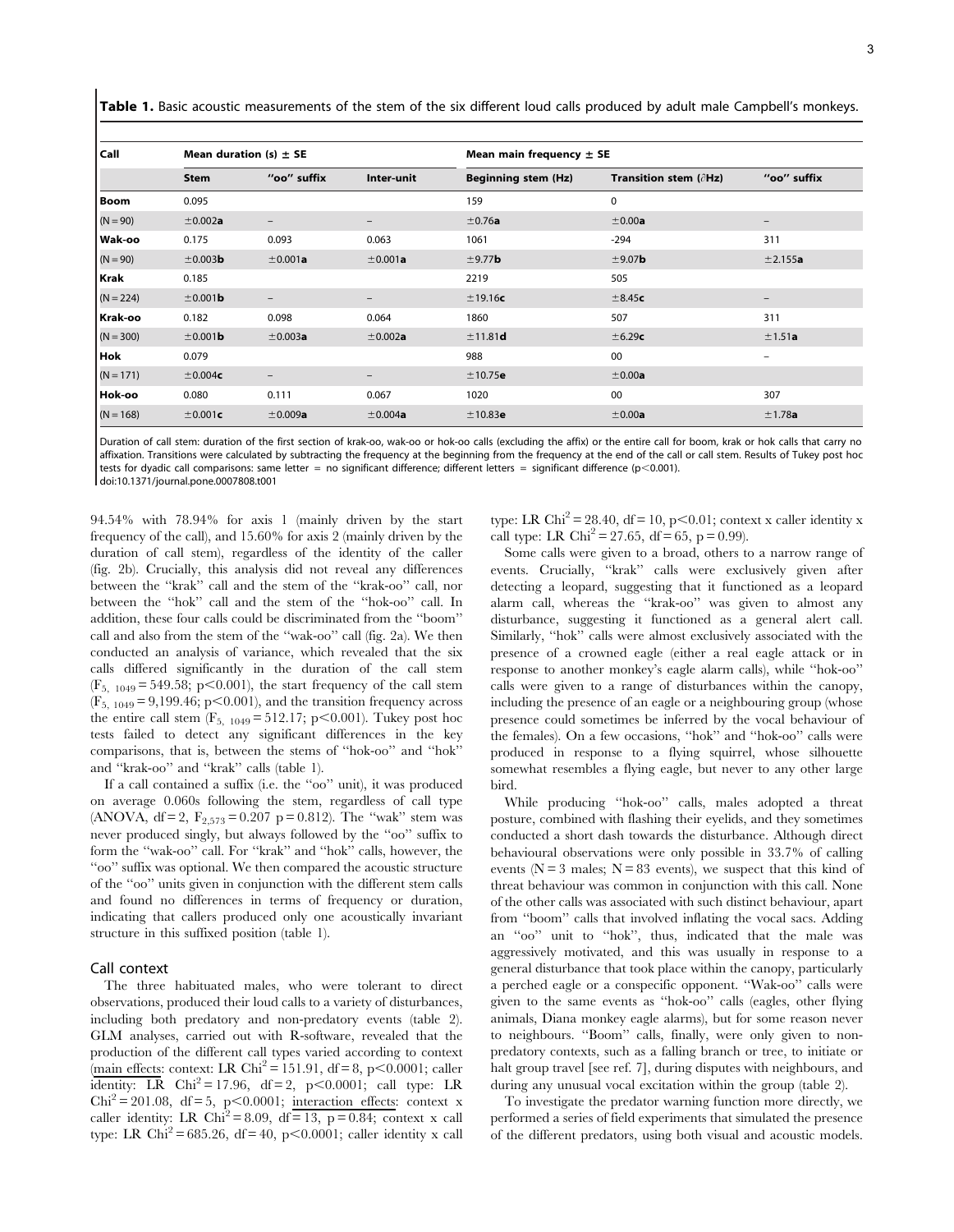| Call        |                      | Mean duration (s) $\pm$ SE |               | Mean main frequency $\pm$ SE |                                 |                          |  |  |
|-------------|----------------------|----------------------------|---------------|------------------------------|---------------------------------|--------------------------|--|--|
|             | <b>Stem</b>          | "oo" suffix                | Inter-unit    | <b>Beginning stem (Hz)</b>   | Transition stem $(\partial Hz)$ | "oo" suffix              |  |  |
| <b>Boom</b> | 0.095                |                            |               | 159                          | $\mathbf 0$                     |                          |  |  |
| $(N = 90)$  | ±0.002a              | $\overline{\phantom{0}}$   |               | ±0.76a                       | ±0.00a                          | $\overline{\phantom{0}}$ |  |  |
| Wak-oo      | 0.175                | 0.093                      | 0.063         | 1061                         | $-294$                          | 311                      |  |  |
| $(N = 90)$  | $\pm 0.003$ <b>b</b> | ±0.001a                    | $\pm 0.001$ a | ±9.77 <sub>b</sub>           | ±9.07 <sub>b</sub>              | ±2.155a                  |  |  |
| Krak        | 0.185                |                            |               | 2219                         | 505                             |                          |  |  |
| $(N = 224)$ | $±0.001$ <b>b</b>    | $\qquad \qquad -$          |               | ±19.16c                      | ±8.45c                          | $\qquad \qquad -$        |  |  |
| Krak-oo     | 0.182                | 0.098                      | 0.064         | 1860                         | 507                             | 311                      |  |  |
| $(N = 300)$ | $±0.001$ <b>b</b>    | ±0.003a                    | $\pm 0.002a$  | ±11.81d                      | ±6.29c                          | ±1.51a                   |  |  |
| Hok         | 0.079                |                            |               | 988                          | 00                              | $\overline{\phantom{0}}$ |  |  |
| $(N = 171)$ | ±0.004c              | $\qquad \qquad -$          |               | ±10.75e                      | ±0.00a                          |                          |  |  |
| Hok-oo      | 0.080                | 0.111                      | 0.067         | 1020                         | 00                              | 307                      |  |  |
| $(N = 168)$ | ±0.001c              | ±0.009a                    | ±0.004a       | ±10.83e                      | ±0.00a                          | ±1.78a                   |  |  |

Duration of call stem: duration of the first section of krak-oo, wak-oo or hok-oo calls (excluding the affix) or the entire call for boom, krak or hok calls that carry no affixation. Transitions were calculated by subtracting the frequency at the beginning from the frequency at the end of the call or call stem. Results of Tukey post hoc tests for dyadic call comparisons: same letter = no significant difference; different letters = significant difference (p<0.001). doi:10.1371/journal.pone.0007808.t001

94.54% with 78.94% for axis 1 (mainly driven by the start frequency of the call), and 15.60% for axis 2 (mainly driven by the duration of call stem), regardless of the identity of the caller (fig. 2b). Crucially, this analysis did not reveal any differences between the ''krak'' call and the stem of the ''krak-oo'' call, nor between the ''hok'' call and the stem of the ''hok-oo'' call. In addition, these four calls could be discriminated from the ''boom'' call and also from the stem of the ''wak-oo'' call (fig. 2a). We then conducted an analysis of variance, which revealed that the six calls differed significantly in the duration of the call stem  $(F_{5, 1049} = 549.58; p<0.001)$ , the start frequency of the call stem  $(F_{5, 1049} = 9,199.46; p<0.001)$ , and the transition frequency across the entire call stem  $(F_{5, 1049} = 512.17; p<0.001)$ . Tukey post hoc tests failed to detect any significant differences in the key comparisons, that is, between the stems of ''hok-oo'' and ''hok'' and ''krak-oo'' and ''krak'' calls (table 1).

If a call contained a suffix (i.e. the ''oo'' unit), it was produced on average 0.060s following the stem, regardless of call type (ANOVA, df = 2,  $F_{2,573}$  = 0.207 p = 0.812). The "wak" stem was never produced singly, but always followed by the ''oo'' suffix to form the ''wak-oo'' call. For ''krak'' and ''hok'' calls, however, the ''oo'' suffix was optional. We then compared the acoustic structure of the ''oo'' units given in conjunction with the different stem calls and found no differences in terms of frequency or duration, indicating that callers produced only one acoustically invariant structure in this suffixed position (table 1).

#### Call context

The three habituated males, who were tolerant to direct observations, produced their loud calls to a variety of disturbances, including both predatory and non-predatory events (table 2). GLM analyses, carried out with R-software, revealed that the production of the different call types varied according to context (main effects: context: LR Chi<sup>2</sup> = 151.91, df = 8, p $\leq 0.0001$ ; caller identity: LR  $Chi^2 = 17.96$ , df = 2, p<0.0001; call type: LR Chi<sup>2</sup> = 201.08, df = 5, p<0.0001; <u>interaction effects</u>: context x caller identity: LR Chi<sup>2</sup> = 8.09, df = 13, p = 0.84; context x call type: LR Chi<sup>2</sup> = 685.26, df = 40, p $\leq$ 0.0001; caller identity x call

type: LR Chi<sup>2</sup> = 28.40, df = 10, p<0.01; context x caller identity x call type: LR Chi<sup>2</sup> = 27.65, df = 65, p = 0.99).

Some calls were given to a broad, others to a narrow range of events. Crucially, ''krak'' calls were exclusively given after detecting a leopard, suggesting that it functioned as a leopard alarm call, whereas the ''krak-oo'' was given to almost any disturbance, suggesting it functioned as a general alert call. Similarly, ''hok'' calls were almost exclusively associated with the presence of a crowned eagle (either a real eagle attack or in response to another monkey's eagle alarm calls), while ''hok-oo'' calls were given to a range of disturbances within the canopy, including the presence of an eagle or a neighbouring group (whose presence could sometimes be inferred by the vocal behaviour of the females). On a few occasions, ''hok'' and ''hok-oo'' calls were produced in response to a flying squirrel, whose silhouette somewhat resembles a flying eagle, but never to any other large bird.

While producing ''hok-oo'' calls, males adopted a threat posture, combined with flashing their eyelids, and they sometimes conducted a short dash towards the disturbance. Although direct behavioural observations were only possible in 33.7% of calling events ( $N = 3$  males;  $N = 83$  events), we suspect that this kind of threat behaviour was common in conjunction with this call. None of the other calls was associated with such distinct behaviour, apart from ''boom'' calls that involved inflating the vocal sacs. Adding an ''oo'' unit to ''hok'', thus, indicated that the male was aggressively motivated, and this was usually in response to a general disturbance that took place within the canopy, particularly a perched eagle or a conspecific opponent. ''Wak-oo'' calls were given to the same events as ''hok-oo'' calls (eagles, other flying animals, Diana monkey eagle alarms), but for some reason never to neighbours. ''Boom'' calls, finally, were only given to nonpredatory contexts, such as a falling branch or tree, to initiate or halt group travel [see ref. 7], during disputes with neighbours, and during any unusual vocal excitation within the group (table 2).

To investigate the predator warning function more directly, we performed a series of field experiments that simulated the presence of the different predators, using both visual and acoustic models.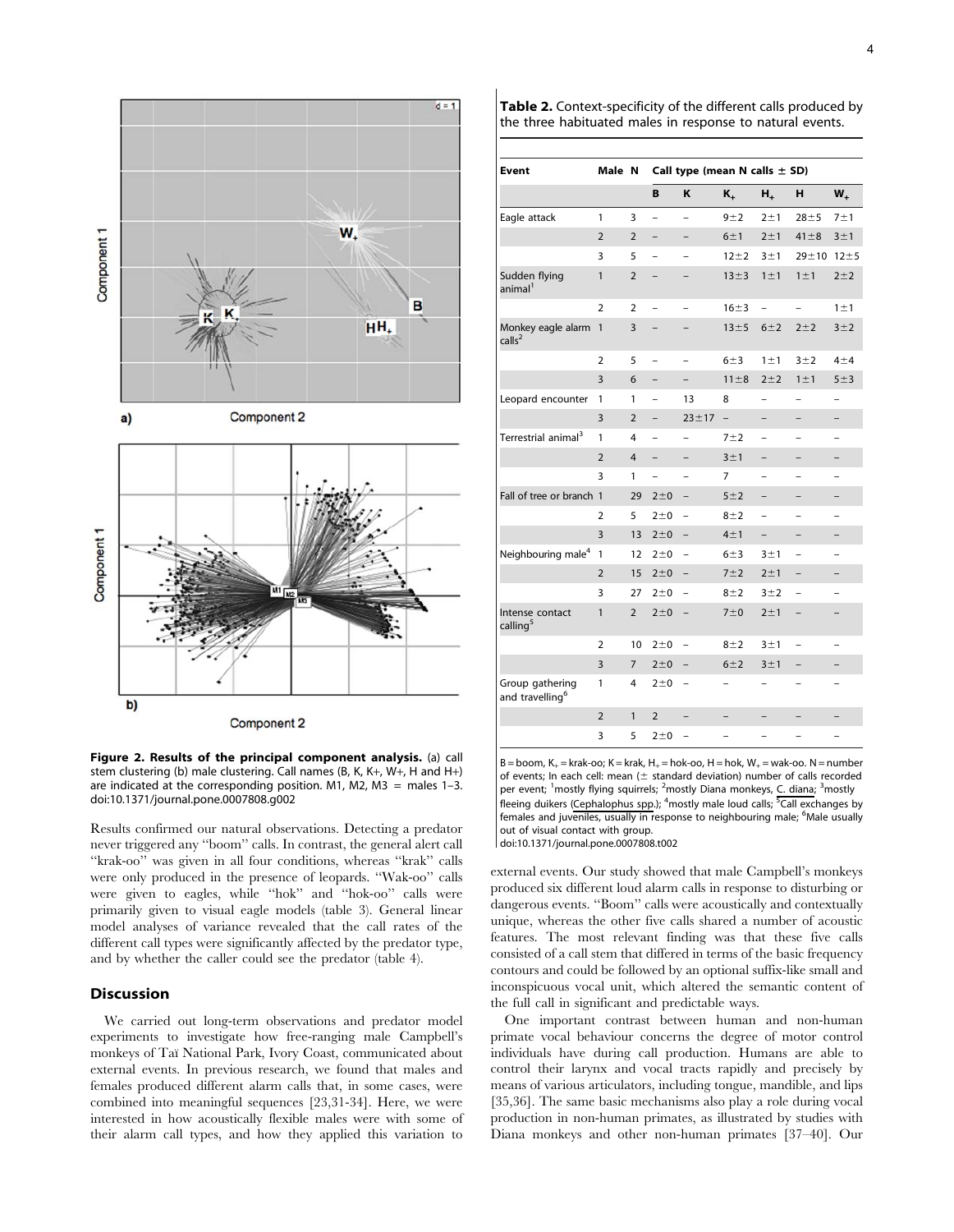

Figure 2. Results of the principal component analysis. (a) call stem clustering (b) male clustering. Call names (B, K, K+, W+, H and H+) are indicated at the corresponding position. M1, M2, M3 = males 1-3. doi:10.1371/journal.pone.0007808.g002

Results confirmed our natural observations. Detecting a predator never triggered any ''boom'' calls. In contrast, the general alert call ''krak-oo'' was given in all four conditions, whereas ''krak'' calls were only produced in the presence of leopards. "Wak-oo" calls were given to eagles, while "hok" and "hok-oo" calls were primarily given to visual eagle models (table 3). General linear model analyses of variance revealed that the call rates of the different call types were significantly affected by the predator type, and by whether the caller could see the predator (table 4).

#### Discussion

We carried out long-term observations and predator model experiments to investigate how free-ranging male Campbell's monkeys of Taı¨ National Park, Ivory Coast, communicated about external events. In previous research, we found that males and females produced different alarm calls that, in some cases, were combined into meaningful sequences [23,31-34]. Here, we were interested in how acoustically flexible males were with some of their alarm call types, and how they applied this variation to

| Table 2. Context-specificity of the different calls produced by |
|-----------------------------------------------------------------|
| the three habituated males in response to natural events.       |

| Event                                          | Male N         |                | Call type (mean N calls $\pm$ SD) |                          |                          |                          |                          |                          |
|------------------------------------------------|----------------|----------------|-----------------------------------|--------------------------|--------------------------|--------------------------|--------------------------|--------------------------|
|                                                |                |                | B                                 | K                        | $K_{+}$                  | $H_{+}$                  | н                        | $W_{-}$                  |
| Eagle attack                                   | 1              | 3              | $\overline{\phantom{0}}$          | $\overline{\phantom{0}}$ | $9+2$                    | $2 + 1$                  | $28 + 5$                 | $7 \pm 1$                |
|                                                | $\overline{2}$ | $\overline{2}$ |                                   |                          | 6±1                      | $2 \pm 1$                | $41 \pm 8$               | 3±1                      |
|                                                | 3              | 5              | $\overline{\phantom{0}}$          |                          | $12 + 2$                 | $3 \pm 1$                | $29 + 10$                | $12 + 5$                 |
| Sudden flying<br>animal <sup>1</sup>           | $\mathbf{1}$   | $\overline{2}$ | -                                 |                          | $13 \pm 3$               | $1 \pm 1$                | $1 \pm 1$                | $2+2$                    |
|                                                | $\overline{2}$ | $\overline{2}$ | $\qquad \qquad -$                 | $\overline{\phantom{0}}$ | $16 + 3$                 | $\overline{a}$           | $\overline{\phantom{0}}$ | $1 \pm 1$                |
| Monkey eagle alarm<br>$\text{calls}^2$         | $\mathbf{1}$   | 3              |                                   |                          | $13 \pm 5$               | 6±2                      | $2 + 2$                  | $3+2$                    |
|                                                | $\overline{2}$ | 5              | -                                 | -                        | 6±3                      | $1 \pm 1$                | $3+2$                    | 4±4                      |
|                                                | 3              | 6              |                                   |                          | $11 \pm 8$               | $2 + 2$                  | $1 \pm 1$                | 5±3                      |
| Leopard encounter                              | 1              | 1              | -                                 | 13                       | 8                        | -                        |                          | -                        |
|                                                | 3              | $\overline{2}$ | -                                 | $23 + 17$                | $\overline{a}$           |                          |                          |                          |
| Terrestrial animal <sup>3</sup>                | 1              | 4              |                                   | -                        | 7 <sup>±</sup> 2         | -                        |                          | -                        |
|                                                | $\overline{2}$ | 4              | $\overline{\phantom{0}}$          | $\overline{\phantom{0}}$ | 3±1                      | -                        |                          | -                        |
|                                                | 3              | 1              | $\overline{a}$                    |                          | 7                        | ۳                        |                          | $\overline{\phantom{0}}$ |
| Fall of tree or branch 1                       |                | 29             | $2\pm 0$                          | $\overline{\phantom{0}}$ | 5±2                      |                          |                          | -                        |
|                                                | 2              | 5              | $2\pm 0$                          | $\overline{a}$           | $8 + 2$                  | $\overline{a}$           |                          | $\overline{\phantom{0}}$ |
|                                                | 3              | 13             | $2\pm 0$                          | -                        | $4\pm1$                  | -                        | -                        | -                        |
| Neighbouring male <sup>4</sup>                 | 1              | 12             | $2\pm 0$                          | $\overline{\phantom{0}}$ | $6 + 3$                  | $3 \pm 1$                | $\overline{a}$           | -                        |
|                                                | $\overline{2}$ | 15             | $2\pm 0$                          |                          | 7 <sup>±</sup> 2         | $2 \pm 1$                |                          |                          |
|                                                | 3              | 27             | $2\pm 0$                          | $\overline{a}$           | $8 + 2$                  | $3 + 2$                  | $\overline{a}$           | -                        |
| Intense contact<br>calling <sup>5</sup>        | 1              | $\overline{2}$ | $2\pm 0$                          |                          | 7 ± 0                    | $2 \pm 1$                |                          |                          |
|                                                | 2              | 10             | $2\pm 0$                          | $\qquad \qquad -$        | $8 + 2$                  | 3±1                      | $\overline{\phantom{0}}$ | -                        |
|                                                | 3              | 7              | $2\pm 0$                          | $\overline{a}$           | 6±2                      | 3±1                      |                          |                          |
| Group gathering<br>and travelling <sup>6</sup> | 1              | 4              | $2\pm 0$                          | $\qquad \qquad -$        |                          |                          |                          | -                        |
|                                                | $\overline{2}$ | 1              | $\overline{2}$                    |                          |                          |                          |                          | -                        |
|                                                | 3              | 5              | $2\pm 0$                          | $\overline{a}$           | $\overline{\phantom{0}}$ | $\overline{\phantom{0}}$ | $\overline{\phantom{0}}$ | -                        |

B = boom, K<sub>+</sub> = krak-oo; K = krak, H<sub>+</sub> = hok-oo, H = hok, W<sub>+</sub> = wak-oo. N = number of events; In each cell: mean ( $\pm$  standard deviation) number of calls recorded per event; <sup>1</sup>mostly flying squirrels; <sup>2</sup>mostly Diana monkeys, C. diana; <sup>3</sup>mostly fleeing duikers (Cephalophus spp.); <sup>4</sup>mostly male loud calls; <sup>5</sup>Call exchanges by females and juveniles, usually in response to neighbouring male; <sup>6</sup>Male usually out of visual contact with group.

doi:10.1371/journal.pone.0007808.t002

external events. Our study showed that male Campbell's monkeys produced six different loud alarm calls in response to disturbing or dangerous events. ''Boom'' calls were acoustically and contextually unique, whereas the other five calls shared a number of acoustic features. The most relevant finding was that these five calls consisted of a call stem that differed in terms of the basic frequency contours and could be followed by an optional suffix-like small and inconspicuous vocal unit, which altered the semantic content of the full call in significant and predictable ways.

One important contrast between human and non-human primate vocal behaviour concerns the degree of motor control individuals have during call production. Humans are able to control their larynx and vocal tracts rapidly and precisely by means of various articulators, including tongue, mandible, and lips [35,36]. The same basic mechanisms also play a role during vocal production in non-human primates, as illustrated by studies with Diana monkeys and other non-human primates [37–40]. Our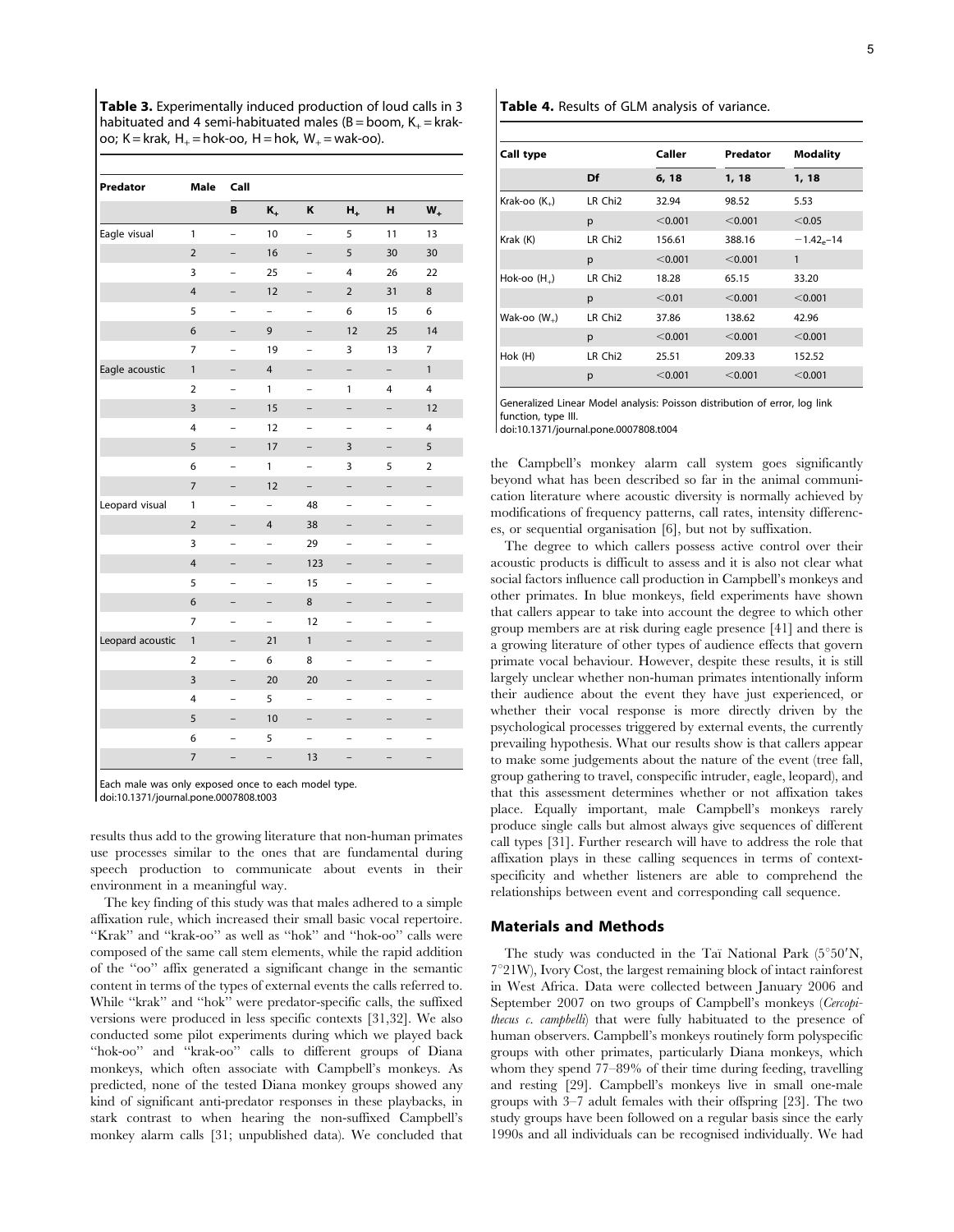Table 3. Experimentally induced production of loud calls in 3 habituated and 4 semi-habituated males (B = boom,  $K_{+}$  = krakoo; K = krak, H<sub>+</sub> = hok-oo, H = hok, W<sub>+</sub> = wak-oo).

| Predator         | Male                    | Call                     |                          |                          |                          |                          |                          |
|------------------|-------------------------|--------------------------|--------------------------|--------------------------|--------------------------|--------------------------|--------------------------|
|                  |                         | B                        | $K_{+}$                  | Κ                        | $H_{+}$                  | н                        | $W_{+}$                  |
| Eagle visual     | 1                       | $\overline{a}$           | 10                       | $\overline{\phantom{0}}$ | 5                        | 11                       | 13                       |
|                  | $\overline{2}$          |                          | 16                       |                          | 5                        | 30                       | 30                       |
|                  | 3                       |                          | 25                       |                          | 4                        | 26                       | 22                       |
|                  | $\overline{4}$          | -                        | 12                       | -                        | $\mathbf 2$              | 31                       | 8                        |
|                  | 5                       |                          | $\overline{a}$           |                          | 6                        | 15                       | 6                        |
|                  | 6                       | -                        | 9                        | -                        | 12                       | 25                       | 14                       |
|                  | $\overline{7}$          | $\overline{a}$           | 19                       | $\overline{a}$           | 3                        | 13                       | $\overline{7}$           |
| Eagle acoustic   | $\mathbf{1}$            |                          | $\overline{4}$           |                          | $\overline{\phantom{0}}$ | $\overline{\phantom{0}}$ | $\mathbf{1}$             |
|                  | $\overline{2}$          | -                        | $\mathbf{1}$             | $\overline{\phantom{0}}$ | 1                        | 4                        | 4                        |
|                  | $\overline{3}$          | -                        | 15                       |                          | -                        | -                        | 12                       |
|                  | $\overline{4}$          | $\overline{a}$           | 12                       | $\overline{\phantom{0}}$ | $\overline{a}$           | $\overline{a}$           | $\overline{4}$           |
|                  | 5                       |                          | 17                       |                          | 3                        |                          | 5                        |
|                  | 6                       |                          | $\mathbf{1}$             |                          | 3                        | 5                        | $\mathbf 2$              |
|                  | $\overline{7}$          | -                        | 12                       | $\overline{a}$           |                          | $\overline{\phantom{0}}$ | $\overline{\phantom{0}}$ |
| Leopard visual   | 1                       | $\overline{a}$           | $\overline{a}$           | 48                       | $\overline{\phantom{0}}$ | -                        | $\overline{a}$           |
|                  | $\overline{2}$          | $\overline{a}$           | $\overline{\mathbf{4}}$  | 38                       |                          |                          | $\overline{a}$           |
|                  | 3                       | $\overline{\phantom{0}}$ | $\overline{\phantom{0}}$ | 29                       | -                        | -                        | $\overline{a}$           |
|                  | 4                       |                          |                          | 123                      |                          | -                        | -                        |
|                  | 5                       | $\overline{\phantom{0}}$ | $\overline{\phantom{0}}$ | 15                       | $\overline{\phantom{0}}$ | $\overline{a}$           | $\overline{\phantom{0}}$ |
|                  | 6                       |                          |                          | 8                        |                          |                          | -                        |
|                  | $\overline{7}$          | $\overline{\phantom{0}}$ | $\overline{\phantom{0}}$ | 12                       | <sup>-</sup>             |                          | -                        |
| Leopard acoustic | $\mathbf{1}$            | -                        | 21                       | $\mathbf{1}$             | -                        |                          |                          |
|                  | $\overline{\mathbf{c}}$ | -                        | 6                        | 8                        | -                        | -                        | -                        |
|                  | $\overline{\mathbf{3}}$ | $\overline{\phantom{0}}$ | 20                       | 20                       | $\overline{\phantom{0}}$ | $\overline{\phantom{0}}$ | $\overline{a}$           |
|                  | 4                       | $\overline{a}$           | 5                        | $\overline{a}$           | $\overline{a}$           | $\overline{a}$           | $\overline{a}$           |
|                  | 5                       | -                        | 10                       | $\overline{\phantom{0}}$ |                          | -                        |                          |
|                  | 6                       | $\overline{a}$           | 5                        | $\overline{a}$           | -                        | -                        |                          |
|                  | $\overline{7}$          |                          |                          | 13                       |                          |                          |                          |

Each male was only exposed once to each model type. doi:10.1371/journal.pone.0007808.t003

results thus add to the growing literature that non-human primates use processes similar to the ones that are fundamental during speech production to communicate about events in their environment in a meaningful way.

The key finding of this study was that males adhered to a simple affixation rule, which increased their small basic vocal repertoire. ''Krak'' and ''krak-oo'' as well as ''hok'' and ''hok-oo'' calls were composed of the same call stem elements, while the rapid addition of the ''oo'' affix generated a significant change in the semantic content in terms of the types of external events the calls referred to. While ''krak'' and ''hok'' were predator-specific calls, the suffixed versions were produced in less specific contexts [31,32]. We also conducted some pilot experiments during which we played back ''hok-oo'' and ''krak-oo'' calls to different groups of Diana monkeys, which often associate with Campbell's monkeys. As predicted, none of the tested Diana monkey groups showed any kind of significant anti-predator responses in these playbacks, in stark contrast to when hearing the non-suffixed Campbell's monkey alarm calls [31; unpublished data). We concluded that Table 4. Results of GLM analysis of variance.

| Call type         |                     | Caller  | Predator | <b>Modality</b> |
|-------------------|---------------------|---------|----------|-----------------|
|                   | Df                  | 6, 18   | 1, 18    | 1, 18           |
| Krak-oo $(K_{+})$ | LR Chi <sub>2</sub> | 32.94   | 98.52    | 5.53            |
|                   | p                   | < 0.001 | < 0.001  | < 0.05          |
| Krak (K)          | LR Chi <sub>2</sub> | 156.61  | 388.16   | $-1.42 - 14$    |
|                   | p                   | < 0.001 | < 0.001  | 1               |
| Hok-oo $(H_+)$    | LR Chi <sub>2</sub> | 18.28   | 65.15    | 33.20           |
|                   | p                   | < 0.01  | < 0.001  | < 0.001         |
| Wak-oo $(W_+)$    | LR Chi <sub>2</sub> | 37.86   | 138.62   | 42.96           |
|                   | p                   | < 0.001 | < 0.001  | < 0.001         |
| Hok (H)           | LR Chi <sub>2</sub> | 25.51   | 209.33   | 152.52          |
|                   | p                   | < 0.001 | < 0.001  | < 0.001         |

Generalized Linear Model analysis: Poisson distribution of error, log link function, type III.

doi:10.1371/journal.pone.0007808.t004

the Campbell's monkey alarm call system goes significantly beyond what has been described so far in the animal communication literature where acoustic diversity is normally achieved by modifications of frequency patterns, call rates, intensity differences, or sequential organisation [6], but not by suffixation.

The degree to which callers possess active control over their acoustic products is difficult to assess and it is also not clear what social factors influence call production in Campbell's monkeys and other primates. In blue monkeys, field experiments have shown that callers appear to take into account the degree to which other group members are at risk during eagle presence [41] and there is a growing literature of other types of audience effects that govern primate vocal behaviour. However, despite these results, it is still largely unclear whether non-human primates intentionally inform their audience about the event they have just experienced, or whether their vocal response is more directly driven by the psychological processes triggered by external events, the currently prevailing hypothesis. What our results show is that callers appear to make some judgements about the nature of the event (tree fall, group gathering to travel, conspecific intruder, eagle, leopard), and that this assessment determines whether or not affixation takes place. Equally important, male Campbell's monkeys rarely produce single calls but almost always give sequences of different call types [31]. Further research will have to address the role that affixation plays in these calling sequences in terms of contextspecificity and whether listeners are able to comprehend the relationships between event and corresponding call sequence.

#### Materials and Methods

The study was conducted in the Taï National Park  $(5°50'N,$  $7°21W$ ), Ivory Cost, the largest remaining block of intact rainforest in West Africa. Data were collected between January 2006 and September 2007 on two groups of Campbell's monkeys (Cercopithecus c. campbelli) that were fully habituated to the presence of human observers. Campbell's monkeys routinely form polyspecific groups with other primates, particularly Diana monkeys, which whom they spend 77–89% of their time during feeding, travelling and resting [29]. Campbell's monkeys live in small one-male groups with 3–7 adult females with their offspring [23]. The two study groups have been followed on a regular basis since the early 1990s and all individuals can be recognised individually. We had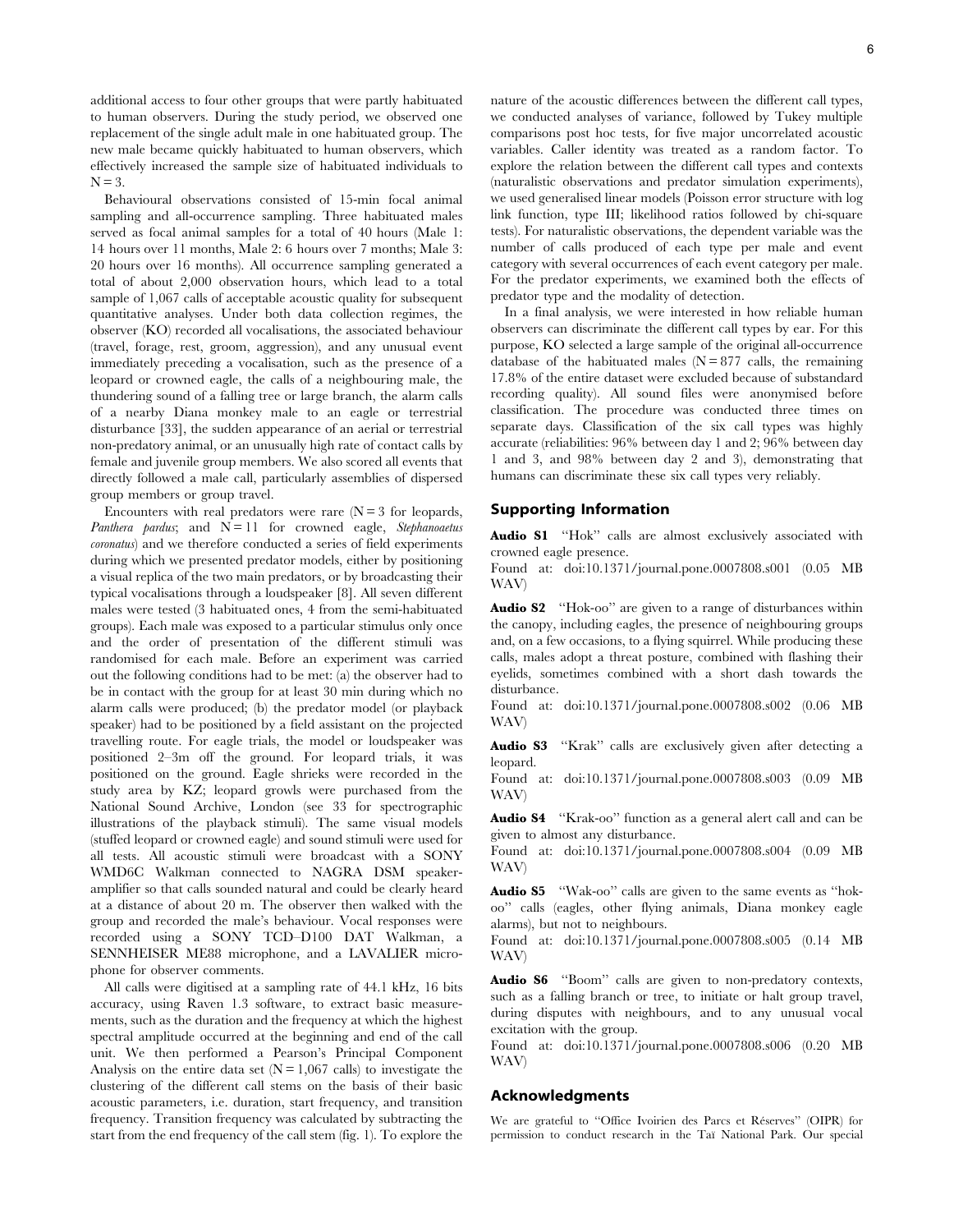additional access to four other groups that were partly habituated to human observers. During the study period, we observed one replacement of the single adult male in one habituated group. The new male became quickly habituated to human observers, which effectively increased the sample size of habituated individuals to  $N = 3$ 

Behavioural observations consisted of 15-min focal animal sampling and all-occurrence sampling. Three habituated males served as focal animal samples for a total of 40 hours (Male 1: 14 hours over 11 months, Male 2: 6 hours over 7 months; Male 3: 20 hours over 16 months). All occurrence sampling generated a total of about 2,000 observation hours, which lead to a total sample of 1,067 calls of acceptable acoustic quality for subsequent quantitative analyses. Under both data collection regimes, the observer (KO) recorded all vocalisations, the associated behaviour (travel, forage, rest, groom, aggression), and any unusual event immediately preceding a vocalisation, such as the presence of a leopard or crowned eagle, the calls of a neighbouring male, the thundering sound of a falling tree or large branch, the alarm calls of a nearby Diana monkey male to an eagle or terrestrial disturbance [33], the sudden appearance of an aerial or terrestrial non-predatory animal, or an unusually high rate of contact calls by female and juvenile group members. We also scored all events that directly followed a male call, particularly assemblies of dispersed group members or group travel.

Encounters with real predators were rare  $(N = 3$  for leopards, Panthera pardus; and  $N = 11$  for crowned eagle, Stephanoaetus coronatus) and we therefore conducted a series of field experiments during which we presented predator models, either by positioning a visual replica of the two main predators, or by broadcasting their typical vocalisations through a loudspeaker [8]. All seven different males were tested (3 habituated ones, 4 from the semi-habituated groups). Each male was exposed to a particular stimulus only once and the order of presentation of the different stimuli was randomised for each male. Before an experiment was carried out the following conditions had to be met: (a) the observer had to be in contact with the group for at least 30 min during which no alarm calls were produced; (b) the predator model (or playback speaker) had to be positioned by a field assistant on the projected travelling route. For eagle trials, the model or loudspeaker was positioned 2–3m off the ground. For leopard trials, it was positioned on the ground. Eagle shrieks were recorded in the study area by KZ; leopard growls were purchased from the National Sound Archive, London (see 33 for spectrographic illustrations of the playback stimuli). The same visual models (stuffed leopard or crowned eagle) and sound stimuli were used for all tests. All acoustic stimuli were broadcast with a SONY WMD6C Walkman connected to NAGRA DSM speakeramplifier so that calls sounded natural and could be clearly heard at a distance of about 20 m. The observer then walked with the group and recorded the male's behaviour. Vocal responses were recorded using a SONY TCD–D100 DAT Walkman, a SENNHEISER ME88 microphone, and a LAVALIER microphone for observer comments.

All calls were digitised at a sampling rate of 44.1 kHz, 16 bits accuracy, using Raven 1.3 software, to extract basic measurements, such as the duration and the frequency at which the highest spectral amplitude occurred at the beginning and end of the call unit. We then performed a Pearson's Principal Component Analysis on the entire data set  $(N = 1,067)$  calls) to investigate the clustering of the different call stems on the basis of their basic acoustic parameters, i.e. duration, start frequency, and transition frequency. Transition frequency was calculated by subtracting the start from the end frequency of the call stem (fig. 1). To explore the

nature of the acoustic differences between the different call types, we conducted analyses of variance, followed by Tukey multiple comparisons post hoc tests, for five major uncorrelated acoustic variables. Caller identity was treated as a random factor. To explore the relation between the different call types and contexts (naturalistic observations and predator simulation experiments), we used generalised linear models (Poisson error structure with log link function, type III; likelihood ratios followed by chi-square tests). For naturalistic observations, the dependent variable was the number of calls produced of each type per male and event category with several occurrences of each event category per male. For the predator experiments, we examined both the effects of predator type and the modality of detection.

In a final analysis, we were interested in how reliable human observers can discriminate the different call types by ear. For this purpose, KO selected a large sample of the original all-occurrence database of the habituated males  $(N = 877 \text{ calls}, \text{ the remaining})$ 17.8% of the entire dataset were excluded because of substandard recording quality). All sound files were anonymised before classification. The procedure was conducted three times on separate days. Classification of the six call types was highly accurate (reliabilities: 96% between day 1 and 2; 96% between day 1 and 3, and 98% between day 2 and 3), demonstrating that humans can discriminate these six call types very reliably.

#### Supporting Information

Audio S1 "Hok" calls are almost exclusively associated with crowned eagle presence.

Found at: doi:10.1371/journal.pone.0007808.s001 (0.05 MB WAV)

Audio S2 ''Hok-oo'' are given to a range of disturbances within the canopy, including eagles, the presence of neighbouring groups and, on a few occasions, to a flying squirrel. While producing these calls, males adopt a threat posture, combined with flashing their eyelids, sometimes combined with a short dash towards the disturbance.

Found at: doi:10.1371/journal.pone.0007808.s002 (0.06 MB WAV)

Audio S3 ''Krak'' calls are exclusively given after detecting a leopard.

Found at: doi:10.1371/journal.pone.0007808.s003 (0.09 MB WAV)

Audio S4 ''Krak-oo'' function as a general alert call and can be given to almost any disturbance.

Found at: doi:10.1371/journal.pone.0007808.s004 (0.09 MB WAV)

Audio S5 ''Wak-oo'' calls are given to the same events as ''hokoo'' calls (eagles, other flying animals, Diana monkey eagle alarms), but not to neighbours.

Found at: doi:10.1371/journal.pone.0007808.s005 (0.14 MB WAV)

Audio S6 ''Boom'' calls are given to non-predatory contexts, such as a falling branch or tree, to initiate or halt group travel, during disputes with neighbours, and to any unusual vocal excitation with the group.

Found at: doi:10.1371/journal.pone.0007808.s006 (0.20 MB WAV)

#### Acknowledgments

We are grateful to "Office Ivoirien des Parcs et Réserves" (OIPR) for permission to conduct research in the Taı¨ National Park. Our special